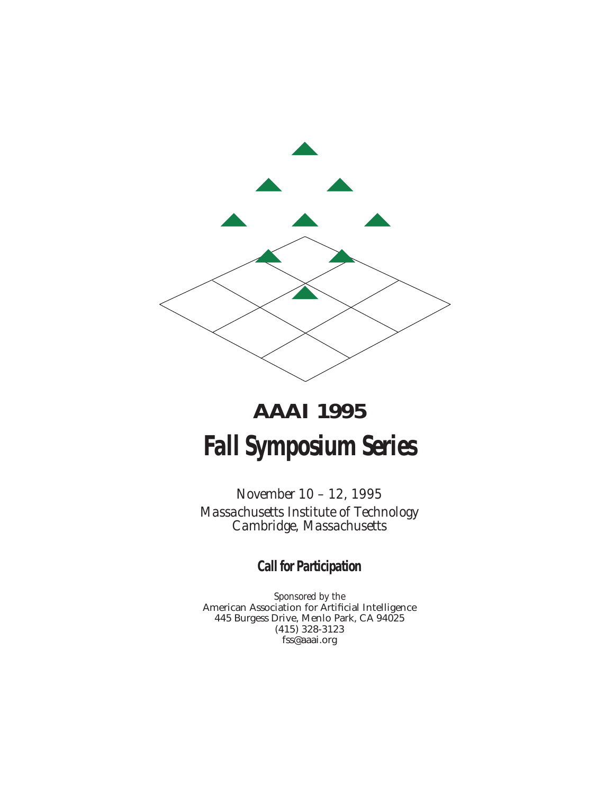

# **AAAI 1995 Fall Symposium Series**

*November 10 – 12, 1995 Massachusetts Institute of Technology Cambridge, Massachusetts*

**Call for Participation**

*Sponsored by the* American Association for Artificial Intelligence 445 Burgess Drive, Menlo Park, CA 94025 (415) 328-3123 fss@aaai.org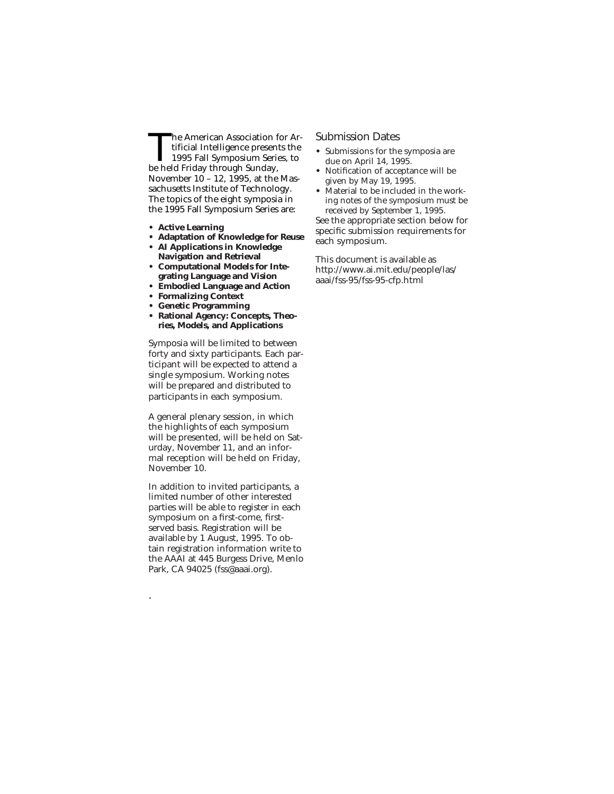The American Association for Artificial Intelligence presents the 1995 Fall Symposium Series, to be held Friday through Sunday, November 10 – 12, 1995, at the Massachusetts Institute of Technology. The topics of the eight symposia in the 1995 Fall Symposium Series are:

- **• Active Learning**
- **• Adaptation of Knowledge for Reuse**
- **• AI Applications in Knowledge Navigation and Retrieval**
- **• Computational Models for Integrating Language and Vision**
- **• Embodied Language and Action**
- **• Formalizing Context**
- **• Genetic Programming**
- **• Rational Agency: Concepts, Theories, Models, and Applications**

Symposia will be limited to between forty and sixty participants. Each participant will be expected to attend a single symposium. Working notes will be prepared and distributed to participants in each symposium.

A general plenary session, in which the highlights of each symposium will be presented, will be held on Saturday, November 11, and an informal reception will be held on Friday, November 10.

In addition to invited participants, a limited number of other interested parties will be able to register in each symposium on a first-come, firstserved basis. Registration will be available by 1 August, 1995. To obtain registration information write to the AAAI at 445 Burgess Drive, Menlo Park, CA 94025 (fss@aaai.org).

.

#### Submission Dates

- **•** Submissions for the symposia are due on April 14, 1995.
- **•** Notification of acceptance will be given by May 19, 1995.
- **•** Material to be included in the working notes of the symposium must be received by September 1, 1995.

See the appropriate section below for specific submission requirements for each symposium.

This document is available as http://www.ai.mit.edu/people/las/ aaai/fss-95/fss-95-cfp.html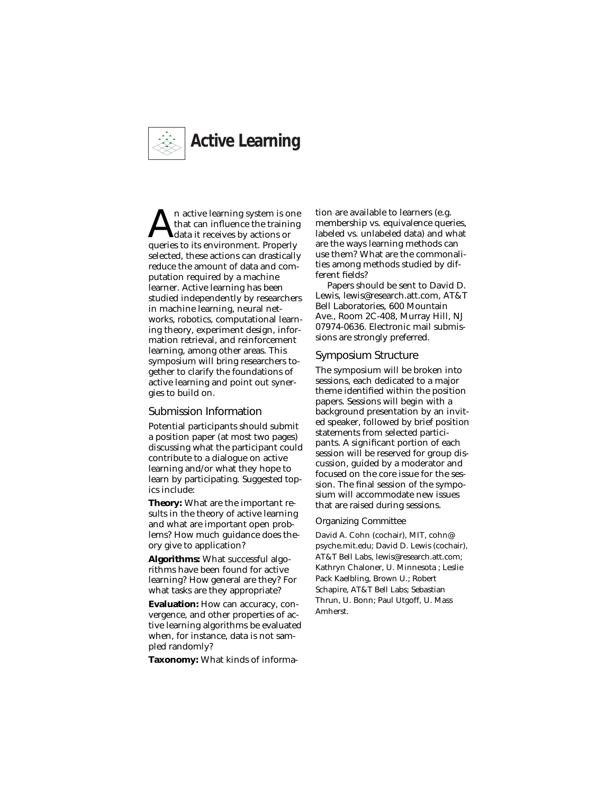

n active learning system is one that can influence the training data it receives by actions or queries to its environment. Properly selected, these actions can drastically reduce the amount of data and computation required by a machine learner. Active learning has been studied independently by researchers in machine learning, neural networks, robotics, computational learning theory, experiment design, information retrieval, and reinforcement learning, among other areas. This symposium will bring researchers together to clarify the foundations of active learning and point out synergies to build on.

#### Submission Information

Potential participants should submit a position paper (at most two pages) discussing what the participant could contribute to a dialogue on active learning and/or what they hope to learn by participating. Suggested topics include:

**Theory:** What are the important results in the theory of active learning and what are important open problems? How much guidance does theory give to application?

**Algorithms:** What successful algorithms have been found for active learning? How general are they? For what tasks are they appropriate?

**Evaluation:** How can accuracy, convergence, and other properties of active learning algorithms be evaluated when, for instance, data is not sampled randomly?

**Taxonomy:** What kinds of informa-

tion are available to learners (e.g. membership vs. equivalence queries, labeled vs. unlabeled data) and what are the ways learning methods can use them? What are the commonalities among methods studied by different fields?

Papers should be sent to David D. Lewis, lewis@research.att.com, AT&T Bell Laboratories, 600 Mountain Ave., Room 2C-408, Murray Hill, NJ 07974-0636. Electronic mail submissions are strongly preferred.

#### Symposium Structure

The symposium will be broken into sessions, each dedicated to a major theme identified within the position papers. Sessions will begin with a background presentation by an invited speaker, followed by brief position statements from selected participants. A significant portion of each session will be reserved for group discussion, guided by a moderator and focused on the core issue for the session. The final session of the symposium will accommodate new issues that are raised during sessions.

#### Organizing Committee

David A. Cohn (cochair), MIT, cohn@ psyche.mit.edu; David D. Lewis (cochair), AT&T Bell Labs, lewis@research.att.com; Kathryn Chaloner, U. Minnesota ; Leslie Pack Kaelbling, Brown U.; Robert Schapire, AT&T Bell Labs; Sebastian Thrun, U. Bonn; Paul Utgoff, U. Mass Amherst.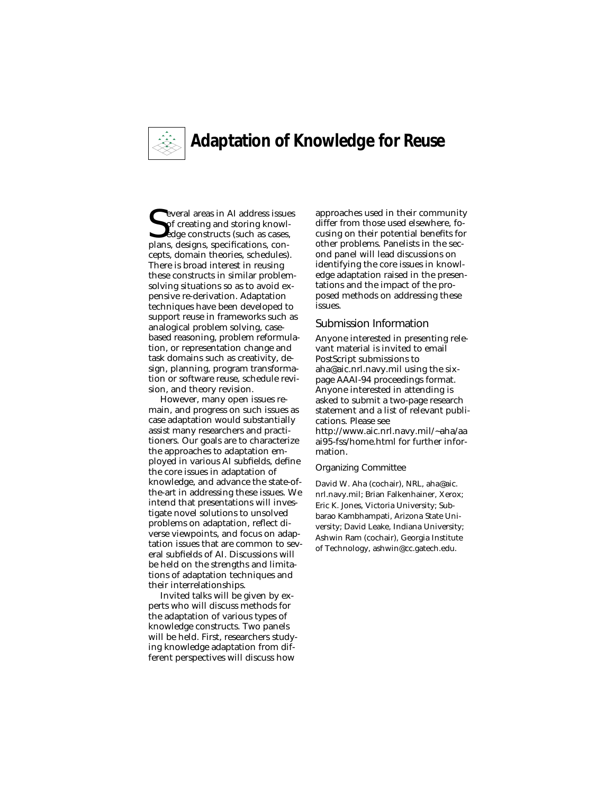

# **Adaptation of Knowledge for Reuse**

Several areas in AI address issue<br>Sof creating and storing knowledge constructs (such as cases,<br>plans, designs, specifications, con-**N** everal areas in AI address issues of creating and storing knowlplans, designs, specifications, concepts, domain theories, schedules). There is broad interest in reusing these constructs in similar problemsolving situations so as to avoid expensive re-derivation. Adaptation techniques have been developed to support reuse in frameworks such as analogical problem solving, casebased reasoning, problem reformulation, or representation change and task domains such as creativity, design, planning, program transformation or software reuse, schedule revision, and theory revision.

However, many open issues remain, and progress on such issues as case adaptation would substantially assist many researchers and practitioners. Our goals are to characterize the approaches to adaptation employed in various AI subfields, define the core issues in adaptation of knowledge, and advance the state-ofthe-art in addressing these issues. We intend that presentations will investigate novel solutions to unsolved problems on adaptation, reflect diverse viewpoints, and focus on adaptation issues that are common to several subfields of AI. Discussions will be held on the strengths and limitations of adaptation techniques and their interrelationships.

Invited talks will be given by experts who will discuss methods for the adaptation of various types of knowledge constructs. Two panels will be held. First, researchers studying knowledge adaptation from different perspectives will discuss how

approaches used in their community differ from those used elsewhere, focusing on their potential benefits for other problems. Panelists in the second panel will lead discussions on identifying the core issues in knowledge adaptation raised in the presentations and the impact of the proposed methods on addressing these issues.

#### Submission Information

Anyone interested in presenting relevant material is invited to email PostScript submissions to aha@aic.nrl.navy.mil using the sixpage AAAI-94 proceedings format. Anyone interested in attending is asked to submit a two-page research statement and a list of relevant publications. Please see http://www.aic.nrl.navy.mil/~aha/aa ai95-fss/home.html for further information.

#### Organizing Committee

David W. Aha (cochair), NRL, aha@aic. nrl.navy.mil; Brian Falkenhainer, Xerox; Eric K. Jones, Victoria University; Subbarao Kambhampati, Arizona State University; David Leake, Indiana University; Ashwin Ram (cochair), Georgia Institute of Technology, ashwin@cc.gatech.edu.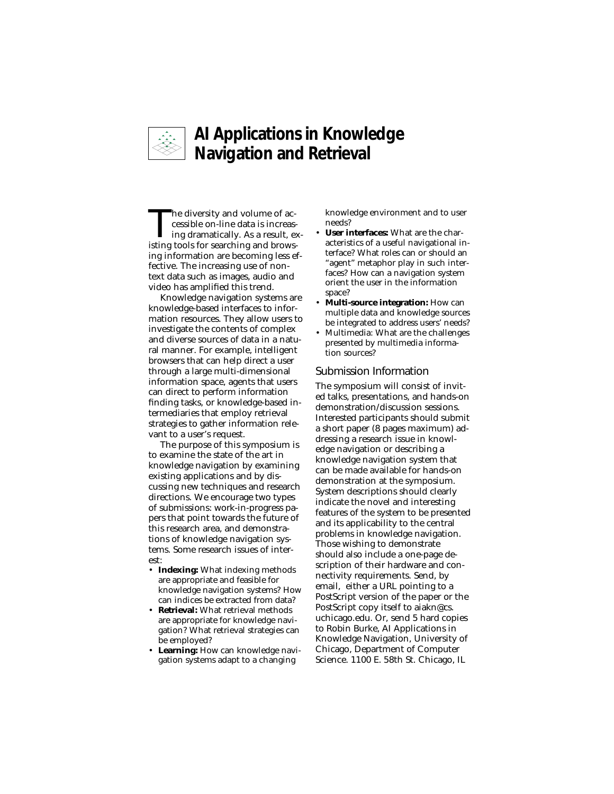

## **AI Applications in Knowledge Navigation and Retrieval**

The diversity and volume of accessible on-line data is increasing dramatically. As a result, existing tools for searching and browsing information are becoming less effective. The increasing use of nontext data such as images, audio and video has amplified this trend.

Knowledge navigation systems are knowledge-based interfaces to information resources. They allow users to investigate the contents of complex and diverse sources of data in a natural manner. For example, intelligent browsers that can help direct a user through a large multi-dimensional information space, agents that users can direct to perform information finding tasks, or knowledge-based intermediaries that employ retrieval strategies to gather information relevant to a user's request.

The purpose of this symposium is to examine the state of the art in knowledge navigation by examining existing applications and by discussing new techniques and research directions. We encourage two types of submissions: work-in-progress papers that point towards the future of this research area, and demonstrations of knowledge navigation systems. Some research issues of interest:

- **Indexing:** What indexing methods are appropriate and feasible for knowledge navigation systems? How can indices be extracted from data?
- **Retrieval:** What retrieval methods are appropriate for knowledge navigation? What retrieval strategies can be employed?
- **Learning:** How can knowledge navigation systems adapt to a changing

knowledge environment and to user needs?

- **User interfaces:** What are the characteristics of a useful navigational interface? What roles can or should an "agent" metaphor play in such interfaces? How can a navigation system orient the user in the information space?
- **Multi-source integration:** How can multiple data and knowledge sources be integrated to address users' needs?
- Multimedia: What are the challenges presented by multimedia information sources?

#### Submission Information

The symposium will consist of invited talks, presentations, and hands-on demonstration/discussion sessions. Interested participants should submit a short paper (8 pages maximum) addressing a research issue in knowledge navigation or describing a knowledge navigation system that can be made available for hands-on demonstration at the symposium. System descriptions should clearly indicate the novel and interesting features of the system to be presented and its applicability to the central problems in knowledge navigation. Those wishing to demonstrate should also include a one-page description of their hardware and connectivity requirements. Send, by email, either a URL pointing to a PostScript version of the paper or the PostScript copy itself to aiakn@cs. uchicago.edu. Or, send 5 hard copies to Robin Burke, AI Applications in Knowledge Navigation, University of Chicago, Department of Computer Science. 1100 E. 58th St. Chicago, IL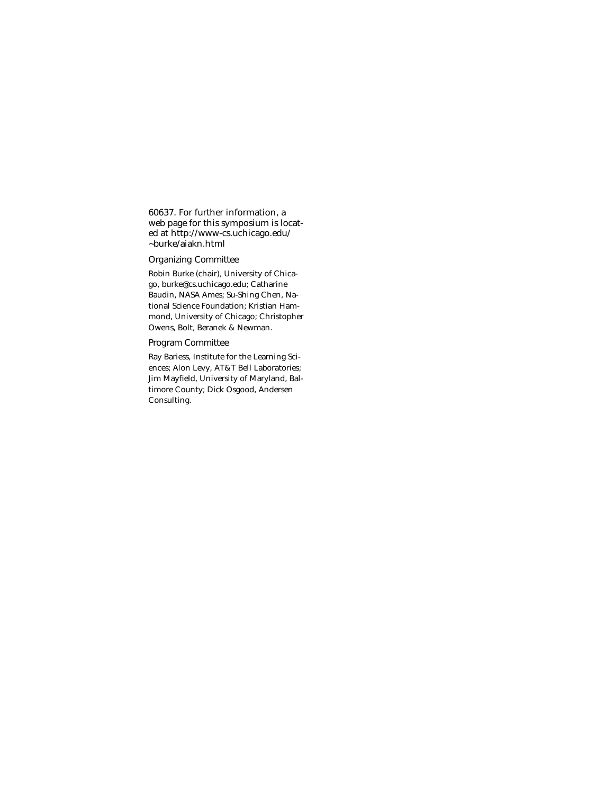60637. For further information, a web page for this symposium is located at http://www-cs.uchicago.edu/ ~burke/aiakn.html

#### Organizing Committee

Robin Burke (chair), University of Chicago, burke@cs.uchicago.edu; Catharine Baudin, NASA Ames; Su-Shing Chen, National Science Foundation; Kristian Hammond, University of Chicago; Christopher Owens, Bolt, Beranek & Newman.

#### Program Committee

Ray Bariess, Institute for the Learning Sciences; Alon Levy, AT&T Bell Laboratories; Jim Mayfield, University of Maryland, Baltimore County; Dick Osgood, Andersen Consulting.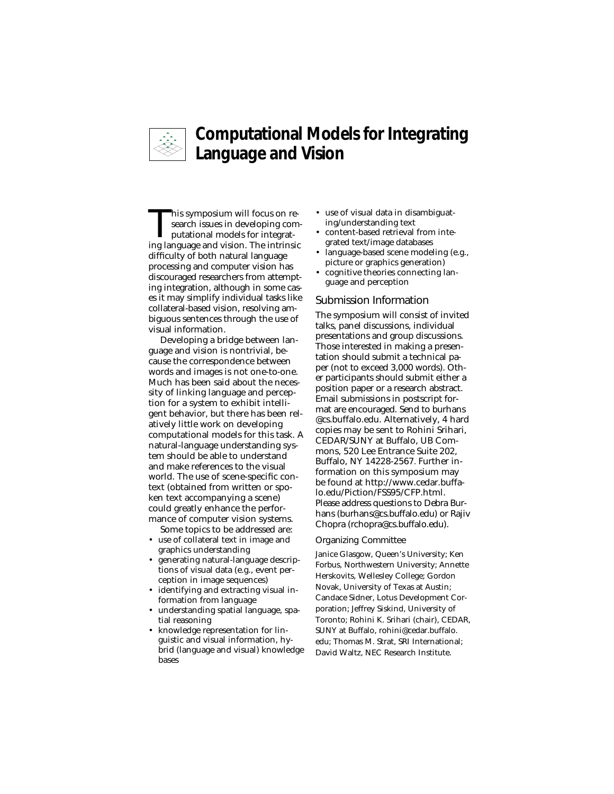

## **Computational Models for Integrating Language and Vision**

This symposium will focus on research issues in developing computational models for integrating language and vision. The intrinsic difficulty of both natural language processing and computer vision has discouraged researchers from attempting integration, although in some cases it may simplify individual tasks like collateral-based vision, resolving ambiguous sentences through the use of visual information.

Developing a bridge between language and vision is nontrivial, because the correspondence between words and images is not one-to-one. Much has been said about the necessity of linking language and perception for a system to exhibit intelligent behavior, but there has been relatively little work on developing computational models for this task. A natural-language understanding system should be able to understand and make references to the visual world. The use of scene-specific context (obtained from written or spoken text accompanying a scene) could greatly enhance the performance of computer vision systems. Some topics to be addressed are:

- use of collateral text in image and graphics understanding
- generating natural-language descriptions of visual data (e.g., event perception in image sequences)
- identifying and extracting visual information from language
- understanding spatial language, spatial reasoning
- knowledge representation for linguistic and visual information, hybrid (language and visual) knowledge bases
- use of visual data in disambiguating/understanding text
- content-based retrieval from integrated text/image databases
- language-based scene modeling (e.g., picture or graphics generation)
- cognitive theories connecting language and perception

#### Submission Information

The symposium will consist of invited talks, panel discussions, individual presentations and group discussions. Those interested in making a presentation should submit a technical paper (not to exceed 3,000 words). Other participants should submit either a position paper or a research abstract. Email submissions in postscript format are encouraged. Send to burhans @cs.buffalo.edu. Alternatively, 4 hard copies may be sent to Rohini Srihari, CEDAR/SUNY at Buffalo, UB Commons, 520 Lee Entrance Suite 202, Buffalo, NY 14228-2567. Further information on this symposium may be found at http://www.cedar.buffalo.edu/Piction/FSS95/CFP.html. Please address questions to Debra Burhans (burhans@cs.buffalo.edu) or Rajiv Chopra (rchopra@cs.buffalo.edu).

#### Organizing Committee

Janice Glasgow, Queen's University; Ken Forbus, Northwestern University; Annette Herskovits, Wellesley College; Gordon Novak, University of Texas at Austin; Candace Sidner, Lotus Development Corporation; Jeffrey Siskind, University of Toronto; Rohini K. Srihari (chair), CEDAR, SUNY at Buffalo, rohini@cedar.buffalo. edu; Thomas M. Strat, SRI International; David Waltz, NEC Research Institute.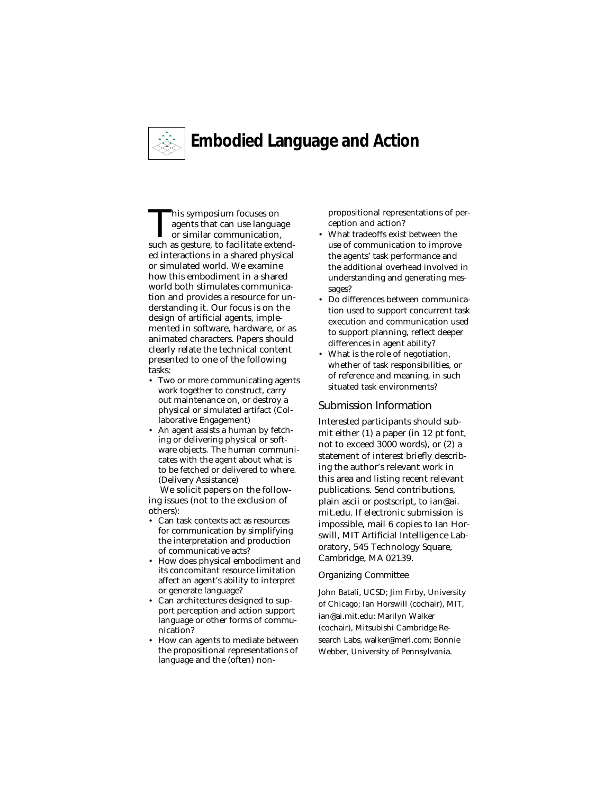

# **Embodied Language and Action**

This symposium focuses on agents that can use language or similar communication, such as gesture, to facilitate extended interactions in a shared physical or simulated world. We examine how this embodiment in a shared world both stimulates communication and provides a resource for understanding it. Our focus is on the design of artificial agents, implemented in software, hardware, or as animated characters. Papers should clearly relate the technical content presented to one of the following tasks:

- Two or more communicating agents work together to construct, carry out maintenance on, or destroy a physical or simulated artifact (Collaborative Engagement)
- An agent assists a human by fetching or delivering physical or software objects. The human communicates with the agent about what is to be fetched or delivered to where. (Delivery Assistance)

We solicit papers on the following issues (not to the exclusion of others):

- Can task contexts act as resources for communication by simplifying the interpretation and production of communicative acts?
- How does physical embodiment and its concomitant resource limitation affect an agent's ability to interpret or generate language?
- Can architectures designed to support perception and action support language or other forms of communication?
- How can agents to mediate between the propositional representations of language and the (often) non-

propositional representations of perception and action?

- What tradeoffs exist between the use of communication to improve the agents' task performance and the additional overhead involved in understanding and generating messages?
- Do differences between communication used to support concurrent task execution and communication used to support planning, reflect deeper differences in agent ability?
- What is the role of negotiation, whether of task responsibilities, or of reference and meaning, in such situated task environments?

#### Submission Information

Interested participants should submit either (1) a paper (in 12 pt font, not to exceed 3000 words), or (2) a statement of interest briefly describing the author's relevant work in this area and listing recent relevant publications. Send contributions, plain ascii or postscript, to ian@ai. mit.edu. If electronic submission is impossible, mail 6 copies to Ian Horswill, MIT Artificial Intelligence Laboratory, 545 Technology Square, Cambridge, MA 02139.

#### Organizing Committee

John Batali, UCSD; Jim Firby, University of Chicago; Ian Horswill (cochair), MIT, ian@ai.mit.edu; Marilyn Walker (cochair), Mitsubishi Cambridge Research Labs, walker@merl.com; Bonnie Webber, University of Pennsylvania.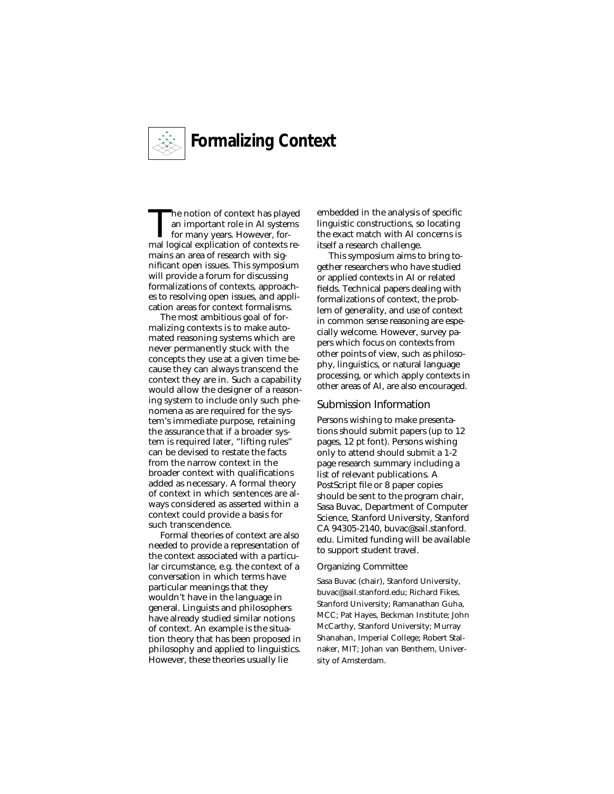

The notion of context has played an important role in AI systems for many years. However, formal logical explication of contexts remains an area of research with significant open issues. This symposium will provide a forum for discussing formalizations of contexts, approaches to resolving open issues, and application areas for context formalisms.

The most ambitious goal of formalizing contexts is to make automated reasoning systems which are never permanently stuck with the concepts they use at a given time because they can always transcend the context they are in. Such a capability would allow the designer of a reasoning system to include only such phenomena as are required for the system's immediate purpose, retaining the assurance that if a broader system is required later, "lifting rules" can be devised to restate the facts from the narrow context in the broader context with qualifications added as necessary. A formal theory of context in which sentences are always considered as asserted within a context could provide a basis for such transcendence.

Formal theories of context are also needed to provide a representation of the context associated with a particular circumstance, e.g. the context of a conversation in which terms have particular meanings that they wouldn't have in the language in general. Linguists and philosophers have already studied similar notions of context. An example is the situation theory that has been proposed in philosophy and applied to linguistics. However, these theories usually lie

embedded in the analysis of specific linguistic constructions, so locating the exact match with AI concerns is itself a research challenge.

This symposium aims to bring together researchers who have studied or applied contexts in AI or related fields. Technical papers dealing with formalizations of context, the problem of generality, and use of context in common sense reasoning are especially welcome. However, survey papers which focus on contexts from other points of view, such as philosophy, linguistics, or natural language processing, or which apply contexts in other areas of AI, are also encouraged.

#### Submission Information

Persons wishing to make presentations should submit papers (up to 12 pages, 12 pt font). Persons wishing only to attend should submit a 1-2 page research summary including a list of relevant publications. A PostScript file or 8 paper copies should be sent to the program chair, Sasa Buvac, Department of Computer Science, Stanford University, Stanford CA 94305-2140, buvac@sail.stanford. edu. Limited funding will be available to support student travel.

#### Organizing Committee

Sasa Buvac (chair), Stanford University, buvac@sail.stanford.edu; Richard Fikes, Stanford University; Ramanathan Guha, MCC; Pat Hayes, Beckman Institute; John McCarthy, Stanford University; Murray Shanahan, Imperial College; Robert Stalnaker, MIT; Johan van Benthem, University of Amsterdam.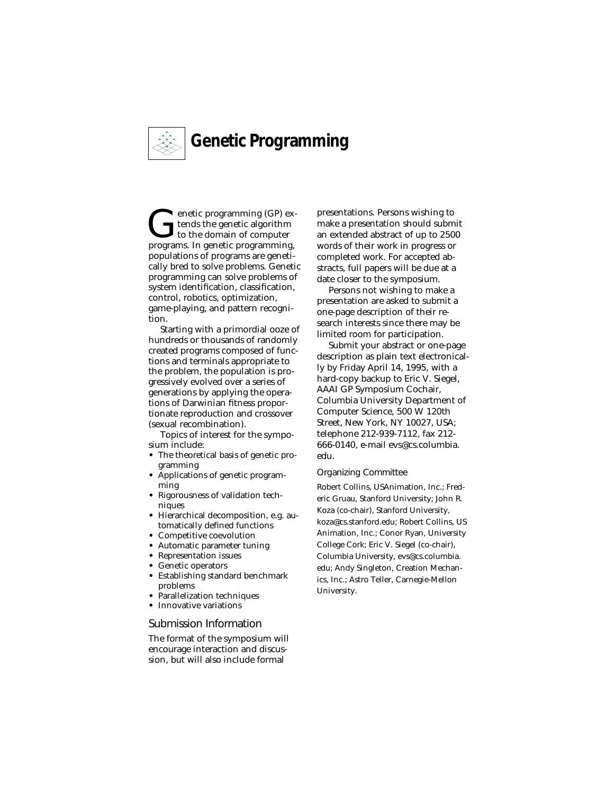

**C**enetic programming (GP) ex-<br>tends the genetic algorithm<br>programs In genetic programming tends the genetic algorithm programs. In genetic programming, populations of programs are genetically bred to solve problems. Genetic programming can solve problems of system identification, classification, control, robotics, optimization, game-playing, and pattern recognition.

Starting with a primordial ooze of hundreds or thousands of randomly created programs composed of functions and terminals appropriate to the problem, the population is progressively evolved over a series of generations by applying the operations of Darwinian fitness proportionate reproduction and crossover (sexual recombination).

Topics of interest for the symposium include:

- **•** The theoretical basis of genetic programming
- **•** Applications of genetic programming
- **•** Rigorousness of validation techniques
- **•** Hierarchical decomposition, e.g. automatically defined functions
- **•** Competitive coevolution
- **•** Automatic parameter tuning
- **•** Representation issues
- **•** Genetic operators
- **•** Establishing standard benchmark problems
- **•** Parallelization techniques
- **•** Innovative variations

#### Submission Information

The format of the symposium will encourage interaction and discussion, but will also include formal

presentations. Persons wishing to make a presentation should submit an extended abstract of up to 2500 words of their work in progress or completed work. For accepted abstracts, full papers will be due at a date closer to the symposium.

Persons not wishing to make a presentation are asked to submit a one-page description of their research interests since there may be limited room for participation.

Submit your abstract or one-page description as plain text electronically by Friday April 14, 1995, with a hard-copy backup to Eric V. Siegel, AAAI GP Symposium Cochair, Columbia University Department of Computer Science, 500 W 120th Street, New York, NY 10027, USA; telephone 212-939-7112, fax 212- 666-0140, e-mail evs@cs.columbia. edu.

#### Organizing Committee

Robert Collins, USAnimation, Inc.; Frederic Gruau, Stanford University; John R. Koza (co-chair), Stanford University, koza@cs.stanford.edu; Robert Collins, US Animation, Inc.; Conor Ryan, University College Cork; Eric V. Siegel (co-chair), Columbia University, evs@cs.columbia. edu; Andy Singleton, Creation Mechanics, Inc.; Astro Teller, Carnegie-Mellon University.